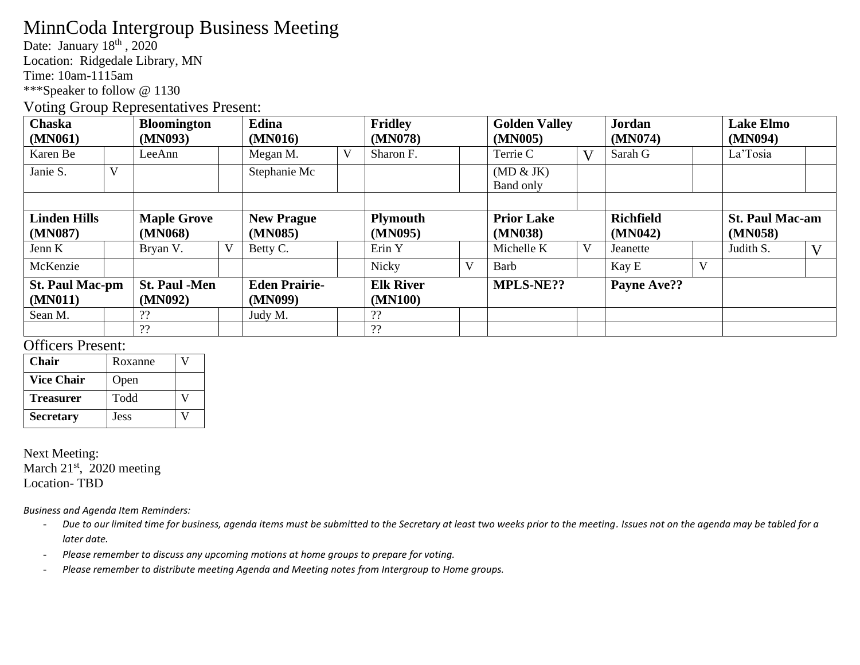# MinnCoda Intergroup Business Meeting

Date: January 18<sup>th</sup>, 2020

Location: Ridgedale Library, MN

Time: 10am-1115am

\*\*\*Speaker to follow @ 1130

#### Voting Group Representatives Present:

| Chaska<br>(MN061)                 |   | <b>Bloomington</b><br>(MN093)   |   | Edina<br>(MN016)                |   | <b>Fridley</b><br>(MN078)   |   | <b>Golden Valley</b><br>(MN005) |              | <b>Jordan</b><br>(MN074)    |   | <b>Lake Elmo</b><br>(MN094)       |              |
|-----------------------------------|---|---------------------------------|---|---------------------------------|---|-----------------------------|---|---------------------------------|--------------|-----------------------------|---|-----------------------------------|--------------|
| Karen Be                          |   | LeeAnn                          |   | Megan M.                        | V | Sharon F.                   |   | Terrie C                        | $\mathbf{V}$ | Sarah G                     |   | La'Tosia                          |              |
| Janie S.                          | V |                                 |   | Stephanie Mc                    |   |                             |   | (MD & JK)<br>Band only          |              |                             |   |                                   |              |
|                                   |   |                                 |   |                                 |   |                             |   |                                 |              |                             |   |                                   |              |
| <b>Linden Hills</b><br>(MN087)    |   | <b>Maple Grove</b><br>(MN068)   |   | <b>New Prague</b><br>(MN085)    |   | <b>Plymouth</b><br>(MN095)  |   | <b>Prior Lake</b><br>(MN038)    |              | <b>Richfield</b><br>(MN042) |   | <b>St. Paul Mac-am</b><br>(MN058) |              |
| Jenn K                            |   | Bryan V.                        | V | Betty C.                        |   | Erin Y                      |   | Michelle K                      | V            | Jeanette                    |   | Judith S.                         | $\mathbf{V}$ |
| McKenzie                          |   |                                 |   |                                 |   | <b>Nicky</b>                | V | Barb                            |              | Kay E                       | V |                                   |              |
| <b>St. Paul Mac-pm</b><br>(MN011) |   | <b>St. Paul -Men</b><br>(MN092) |   | <b>Eden Prairie-</b><br>(MN099) |   | <b>Elk River</b><br>(MN100) |   | <b>MPLS-NE??</b>                |              | Payne Ave??                 |   |                                   |              |
| Sean M.                           |   | ??                              |   | Judy M.                         |   | ??                          |   |                                 |              |                             |   |                                   |              |
|                                   |   | ??                              |   |                                 |   | ??                          |   |                                 |              |                             |   |                                   |              |

### Officers Present:

| Chair             | Roxanne |  |
|-------------------|---------|--|
| <b>Vice Chair</b> | Open    |  |
| <b>Treasurer</b>  | Todd    |  |
| <b>Secretary</b>  | Jess    |  |

Next Meeting: March 21<sup>st</sup>, 2020 meeting Location- TBD

*Business and Agenda Item Reminders:*

- *Due to our limited time for business, agenda items must be submitted to the Secretary at least two weeks prior to the meeting. Issues not on the agenda may be tabled for a later date.*
- *Please remember to discuss any upcoming motions at home groups to prepare for voting.*
- *Please remember to distribute meeting Agenda and Meeting notes from Intergroup to Home groups.*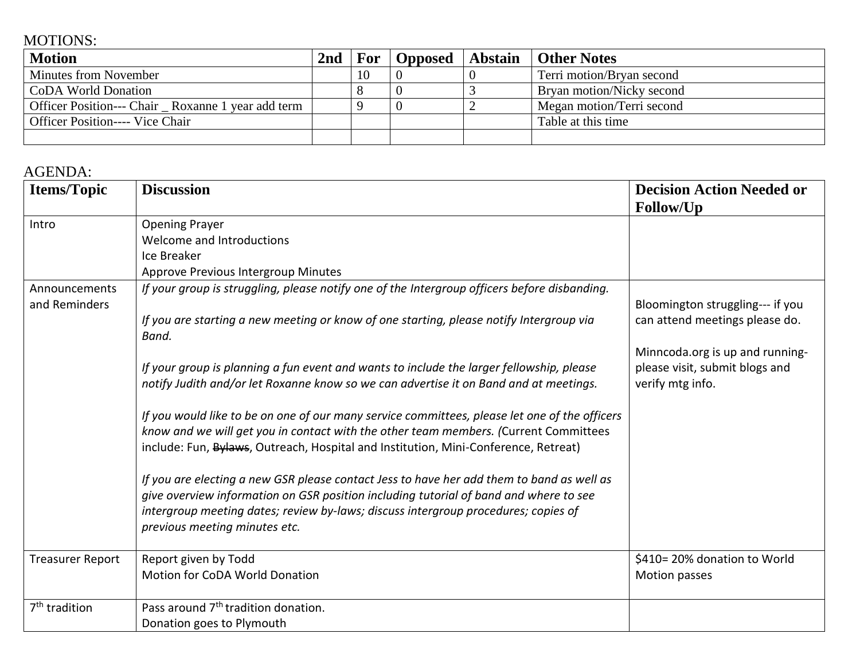## MOTIONS:

| <b>Motion</b>                                     | 2nd | For |  | <b>Opposed</b>   Abstain   Other Notes |
|---------------------------------------------------|-----|-----|--|----------------------------------------|
| <b>Minutes from November</b>                      |     | 10  |  | Terri motion/Bryan second              |
| CoDA World Donation                               |     |     |  | Bryan motion/Nicky second              |
| Officer Position--- Chair Roxanne 1 year add term |     |     |  | Megan motion/Terri second              |
| <b>Officer Position---- Vice Chair</b>            |     |     |  | Table at this time                     |
|                                                   |     |     |  |                                        |

## AGENDA:

| <b>Items/Topic</b>                      | <b>Discussion</b>                                                                                                                                                                                                                                                                                                                                                                                                                                                                                                                                                                                                                                                                                                                                                                                                                                                                                                                                                                                                                                             | <b>Decision Action Needed or</b>                                                                                                                                         |
|-----------------------------------------|---------------------------------------------------------------------------------------------------------------------------------------------------------------------------------------------------------------------------------------------------------------------------------------------------------------------------------------------------------------------------------------------------------------------------------------------------------------------------------------------------------------------------------------------------------------------------------------------------------------------------------------------------------------------------------------------------------------------------------------------------------------------------------------------------------------------------------------------------------------------------------------------------------------------------------------------------------------------------------------------------------------------------------------------------------------|--------------------------------------------------------------------------------------------------------------------------------------------------------------------------|
| Intro<br>Announcements<br>and Reminders | <b>Opening Prayer</b><br>Welcome and Introductions<br>Ice Breaker<br>Approve Previous Intergroup Minutes<br>If your group is struggling, please notify one of the Intergroup officers before disbanding.<br>If you are starting a new meeting or know of one starting, please notify Intergroup via<br>Band.<br>If your group is planning a fun event and wants to include the larger fellowship, please<br>notify Judith and/or let Roxanne know so we can advertise it on Band and at meetings.<br>If you would like to be on one of our many service committees, please let one of the officers<br>know and we will get you in contact with the other team members. (Current Committees<br>include: Fun, Bylaws, Outreach, Hospital and Institution, Mini-Conference, Retreat)<br>If you are electing a new GSR please contact Jess to have her add them to band as well as<br>give overview information on GSR position including tutorial of band and where to see<br>intergroup meeting dates; review by-laws; discuss intergroup procedures; copies of | Follow/Up<br>Bloomington struggling--- if you<br>can attend meetings please do.<br>Minncoda.org is up and running-<br>please visit, submit blogs and<br>verify mtg info. |
|                                         | previous meeting minutes etc.                                                                                                                                                                                                                                                                                                                                                                                                                                                                                                                                                                                                                                                                                                                                                                                                                                                                                                                                                                                                                                 |                                                                                                                                                                          |
| <b>Treasurer Report</b>                 | Report given by Todd<br><b>Motion for CoDA World Donation</b>                                                                                                                                                                                                                                                                                                                                                                                                                                                                                                                                                                                                                                                                                                                                                                                                                                                                                                                                                                                                 | \$410=20% donation to World<br>Motion passes                                                                                                                             |
| 7 <sup>th</sup> tradition               | Pass around 7 <sup>th</sup> tradition donation.<br>Donation goes to Plymouth                                                                                                                                                                                                                                                                                                                                                                                                                                                                                                                                                                                                                                                                                                                                                                                                                                                                                                                                                                                  |                                                                                                                                                                          |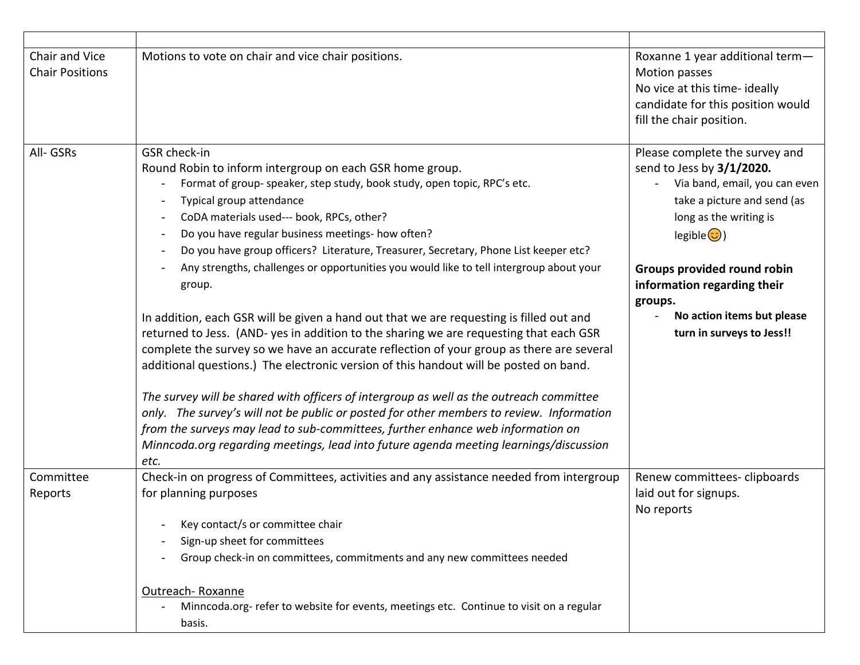| Chair and Vice<br><b>Chair Positions</b> | Motions to vote on chair and vice chair positions.                                                                                                                                                                                                                                                                                                                                                                                                                                                                                                                                                                                                                                                                                                                                                                                                                                                                                                                                                                                                                                                                                                                                                                                   | Roxanne 1 year additional term-<br>Motion passes<br>No vice at this time- ideally<br>candidate for this position would<br>fill the chair position.                                                                                                                                                                   |
|------------------------------------------|--------------------------------------------------------------------------------------------------------------------------------------------------------------------------------------------------------------------------------------------------------------------------------------------------------------------------------------------------------------------------------------------------------------------------------------------------------------------------------------------------------------------------------------------------------------------------------------------------------------------------------------------------------------------------------------------------------------------------------------------------------------------------------------------------------------------------------------------------------------------------------------------------------------------------------------------------------------------------------------------------------------------------------------------------------------------------------------------------------------------------------------------------------------------------------------------------------------------------------------|----------------------------------------------------------------------------------------------------------------------------------------------------------------------------------------------------------------------------------------------------------------------------------------------------------------------|
| All- GSRs                                | GSR check-in<br>Round Robin to inform intergroup on each GSR home group.<br>Format of group- speaker, step study, book study, open topic, RPC's etc.<br>Typical group attendance<br>CoDA materials used--- book, RPCs, other?<br>Do you have regular business meetings- how often?<br>Do you have group officers? Literature, Treasurer, Secretary, Phone List keeper etc?<br>Any strengths, challenges or opportunities you would like to tell intergroup about your<br>group.<br>In addition, each GSR will be given a hand out that we are requesting is filled out and<br>returned to Jess. (AND- yes in addition to the sharing we are requesting that each GSR<br>complete the survey so we have an accurate reflection of your group as there are several<br>additional questions.) The electronic version of this handout will be posted on band.<br>The survey will be shared with officers of intergroup as well as the outreach committee<br>only. The survey's will not be public or posted for other members to review. Information<br>from the surveys may lead to sub-committees, further enhance web information on<br>Minncoda.org regarding meetings, lead into future agenda meeting learnings/discussion<br>etc. | Please complete the survey and<br>send to Jess by 3/1/2020.<br>Via band, email, you can even<br>take a picture and send (as<br>long as the writing is<br>legible $\circled{c}$ )<br>Groups provided round robin<br>information regarding their<br>groups.<br>No action items but please<br>turn in surveys to Jess!! |
| Committee<br>Reports                     | Check-in on progress of Committees, activities and any assistance needed from intergroup<br>for planning purposes<br>Key contact/s or committee chair<br>Sign-up sheet for committees<br>Group check-in on committees, commitments and any new committees needed<br>Outreach-Roxanne<br>Minncoda.org- refer to website for events, meetings etc. Continue to visit on a regular<br>basis.                                                                                                                                                                                                                                                                                                                                                                                                                                                                                                                                                                                                                                                                                                                                                                                                                                            | Renew committees-clipboards<br>laid out for signups.<br>No reports                                                                                                                                                                                                                                                   |